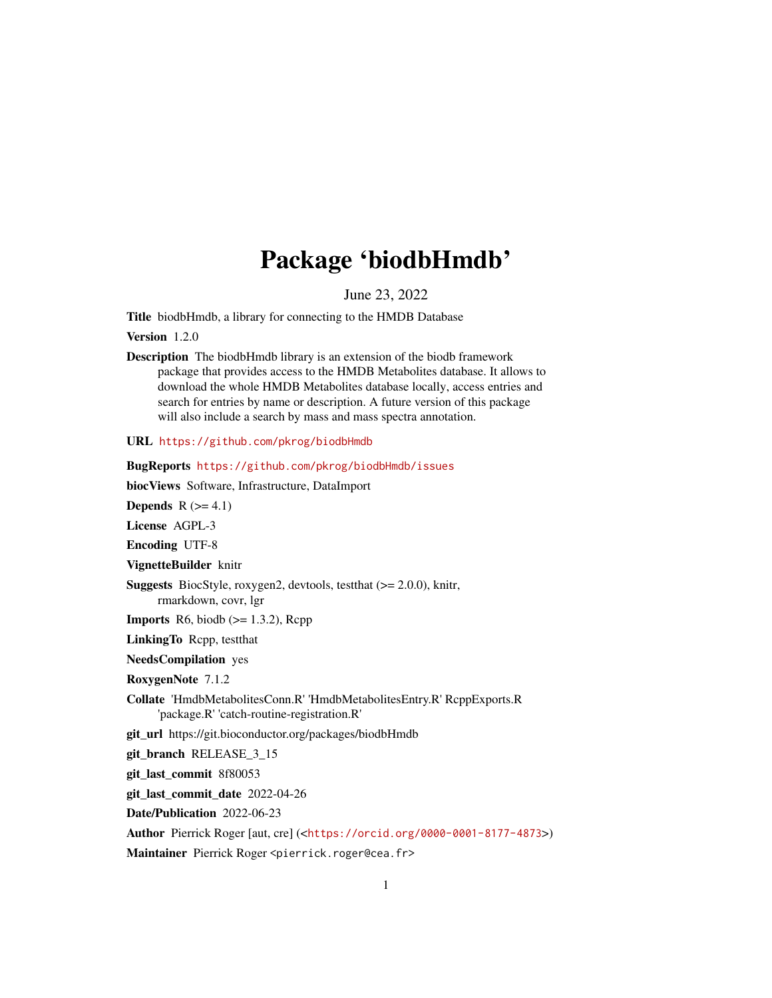## Package 'biodbHmdb'

June 23, 2022

<span id="page-0-0"></span>Title biodbHmdb, a library for connecting to the HMDB Database

Version 1.2.0

Description The biodbHmdb library is an extension of the biodb framework package that provides access to the HMDB Metabolites database. It allows to download the whole HMDB Metabolites database locally, access entries and search for entries by name or description. A future version of this package will also include a search by mass and mass spectra annotation.

URL <https://github.com/pkrog/biodbHmdb>

BugReports <https://github.com/pkrog/biodbHmdb/issues> biocViews Software, Infrastructure, DataImport Depends  $R$  ( $>= 4.1$ ) License AGPL-3 Encoding UTF-8 VignetteBuilder knitr **Suggests** BiocStyle, roxygen2, devtools, test that  $(>= 2.0.0)$ , knitr, rmarkdown, covr, lgr **Imports** R6, biodb  $(>= 1.3.2)$ , Rcpp LinkingTo Rcpp, testthat NeedsCompilation yes RoxygenNote 7.1.2 Collate 'HmdbMetabolitesConn.R' 'HmdbMetabolitesEntry.R' RcppExports.R 'package.R' 'catch-routine-registration.R' git\_url https://git.bioconductor.org/packages/biodbHmdb git\_branch RELEASE\_3\_15 git\_last\_commit 8f80053 git\_last\_commit\_date 2022-04-26 Date/Publication 2022-06-23 Author Pierrick Roger [aut, cre] (<<https://orcid.org/0000-0001-8177-4873>>)

Maintainer Pierrick Roger <pierrick.roger@cea.fr>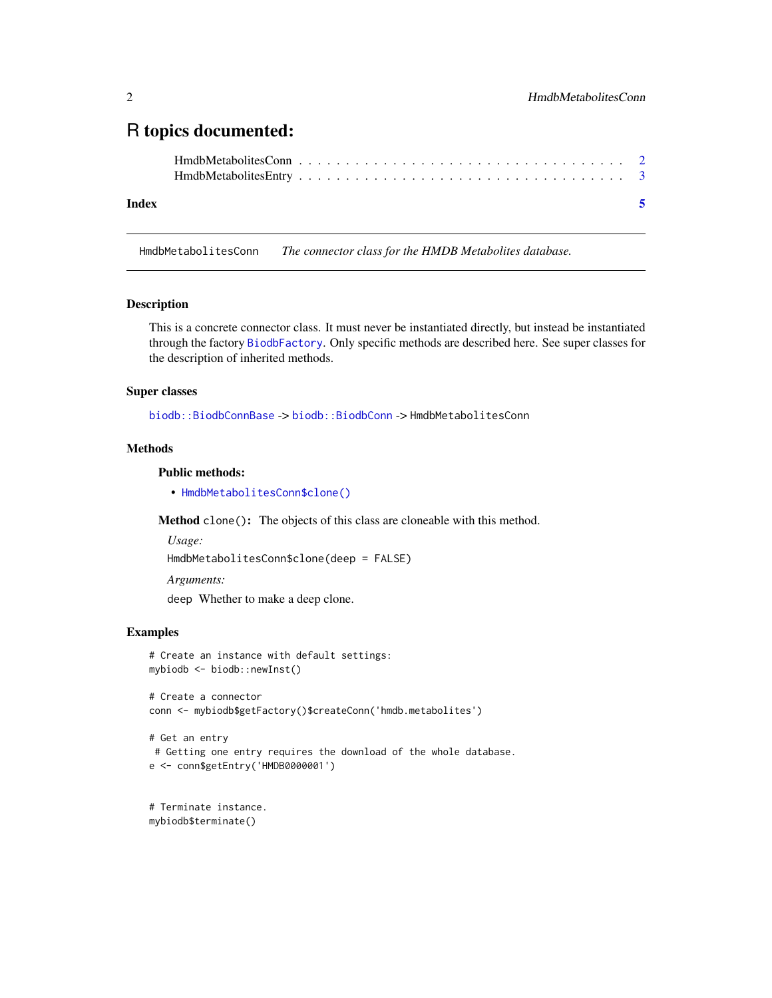### <span id="page-1-0"></span>R topics documented:

#### **Index** [5](#page-4-0). The second state of the second state of the second state of the second state of the second state of the second state of the second state of the second state of the second state of the second state of the second

HmdbMetabolitesConn *The connector class for the HMDB Metabolites database.*

#### Description

This is a concrete connector class. It must never be instantiated directly, but instead be instantiated through the factory [BiodbFactory](#page-0-0). Only specific methods are described here. See super classes for the description of inherited methods.

#### Super classes

[biodb::BiodbConnBase](#page-0-0) -> [biodb::BiodbConn](#page-0-0) -> HmdbMetabolitesConn

#### **Methods**

#### Public methods:

• [HmdbMetabolitesConn\\$clone\(\)](#page-1-1)

<span id="page-1-1"></span>Method clone(): The objects of this class are cloneable with this method.

*Usage:*

```
HmdbMetabolitesConn$clone(deep = FALSE)
```
*Arguments:*

deep Whether to make a deep clone.

#### Examples

```
# Create an instance with default settings:
mybiodb <- biodb::newInst()
```

```
# Create a connector
conn <- mybiodb$getFactory()$createConn('hmdb.metabolites')
```

```
# Get an entry
# Getting one entry requires the download of the whole database.
e <- conn$getEntry('HMDB0000001')
```
# Terminate instance. mybiodb\$terminate()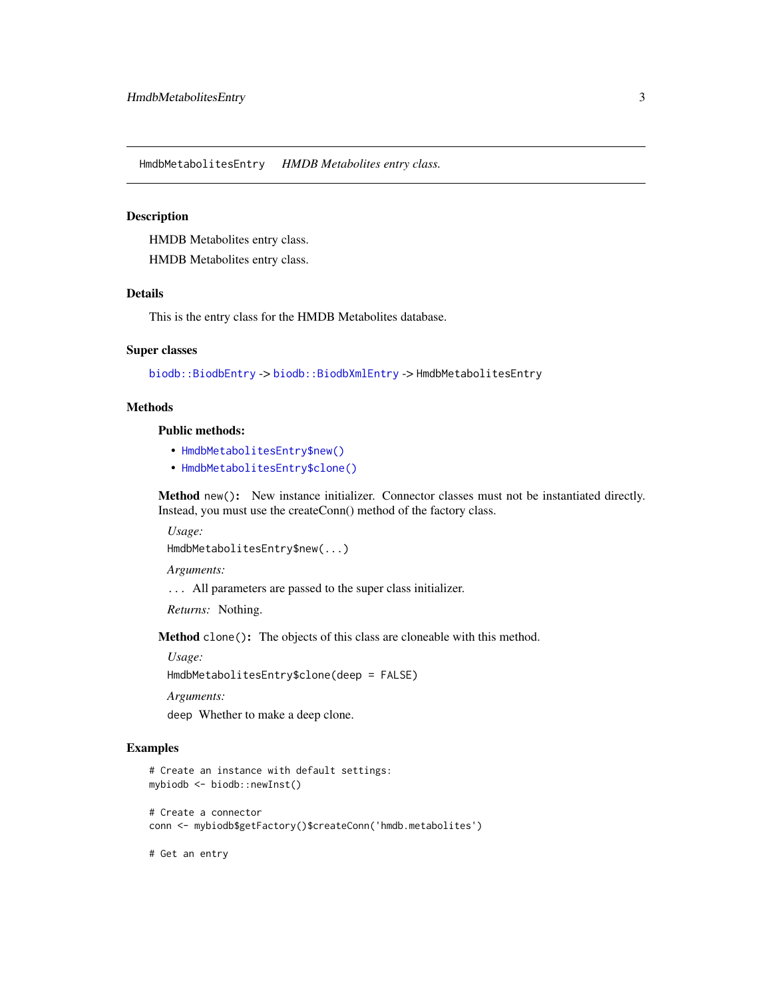<span id="page-2-0"></span>HmdbMetabolitesEntry *HMDB Metabolites entry class.*

#### Description

HMDB Metabolites entry class.

HMDB Metabolites entry class.

#### Details

This is the entry class for the HMDB Metabolites database.

#### Super classes

[biodb::BiodbEntry](#page-0-0) -> [biodb::BiodbXmlEntry](#page-0-0) -> HmdbMetabolitesEntry

#### **Methods**

#### Public methods:

- [HmdbMetabolitesEntry\\$new\(\)](#page-2-1)
- [HmdbMetabolitesEntry\\$clone\(\)](#page-1-1)

<span id="page-2-1"></span>Method new(): New instance initializer. Connector classes must not be instantiated directly. Instead, you must use the createConn() method of the factory class.

*Usage:*

HmdbMetabolitesEntry\$new(...)

*Arguments:*

... All parameters are passed to the super class initializer.

*Returns:* Nothing.

Method clone(): The objects of this class are cloneable with this method.

*Usage:*

HmdbMetabolitesEntry\$clone(deep = FALSE)

*Arguments:*

deep Whether to make a deep clone.

#### Examples

```
# Create an instance with default settings:
mybiodb <- biodb::newInst()
```
# Create a connector conn <- mybiodb\$getFactory()\$createConn('hmdb.metabolites')

# Get an entry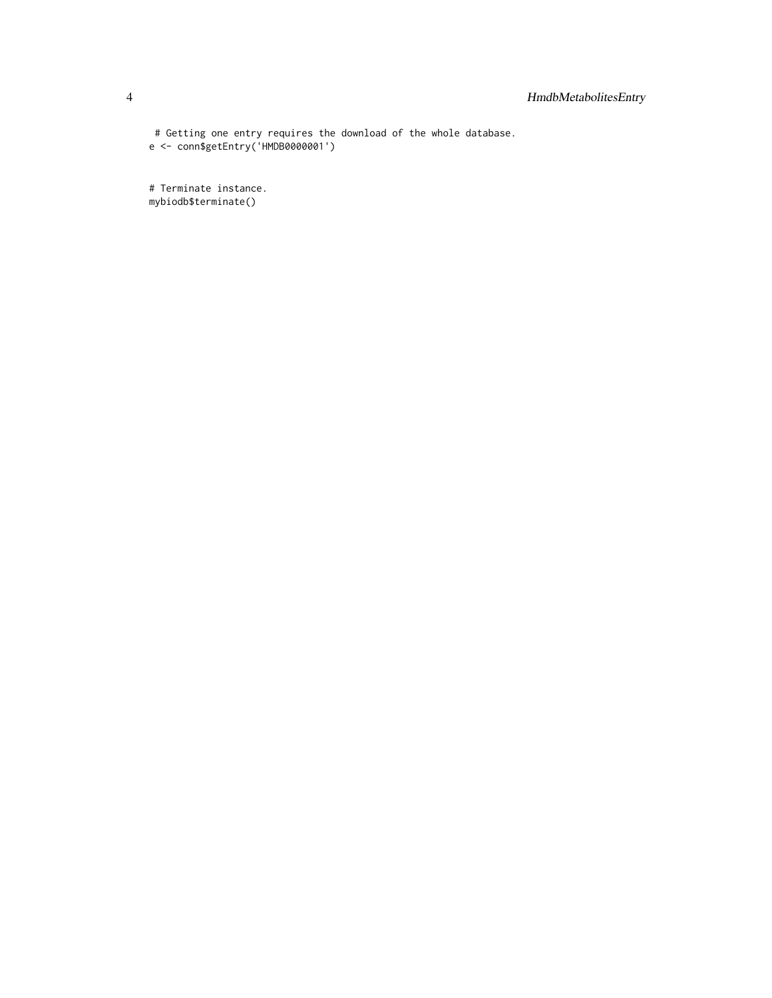# Getting one entry requires the download of the whole database. e <- conn\$getEntry('HMDB0000001')

# Terminate instance. mybiodb\$terminate()